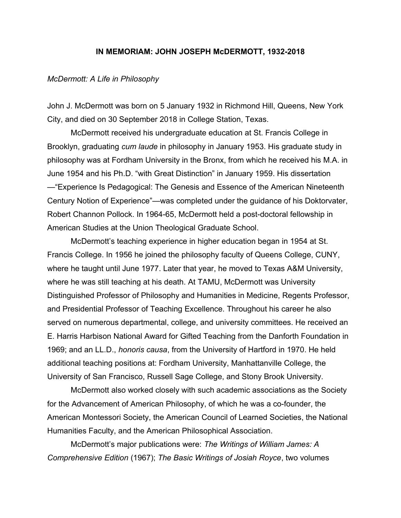### **IN MEMORIAM: JOHN JOSEPH McDERMOTT, 1932-2018**

#### *McDermott: A Life in Philosophy*

John J. McDermott was born on 5 January 1932 in Richmond Hill, Queens, New York City, and died on 30 September 2018 in College Station, Texas.

McDermott received his undergraduate education at St. Francis College in Brooklyn, graduating *cum laude* in philosophy in January 1953. His graduate study in philosophy was at Fordham University in the Bronx, from which he received his M.A. in June 1954 and his Ph.D. "with Great Distinction" in January 1959. His dissertation —"Experience Is Pedagogical: The Genesis and Essence of the American Nineteenth Century Notion of Experience"—was completed under the guidance of his Doktorvater, Robert Channon Pollock. In 1964-65, McDermott held a post-doctoral fellowship in American Studies at the Union Theological Graduate School.

McDermott's teaching experience in higher education began in 1954 at St. Francis College. In 1956 he joined the philosophy faculty of Queens College, CUNY, where he taught until June 1977. Later that year, he moved to Texas A&M University, where he was still teaching at his death. At TAMU, McDermott was University Distinguished Professor of Philosophy and Humanities in Medicine, Regents Professor, and Presidential Professor of Teaching Excellence. Throughout his career he also served on numerous departmental, college, and university committees. He received an E. Harris Harbison National Award for Gifted Teaching from the Danforth Foundation in 1969; and an LL.D., *honoris causa*, from the University of Hartford in 1970. He held additional teaching positions at: Fordham University, Manhattanville College, the University of San Francisco, Russell Sage College, and Stony Brook University.

McDermott also worked closely with such academic associations as the Society for the Advancement of American Philosophy, of which he was a co-founder, the American Montessori Society, the American Council of Learned Societies, the National Humanities Faculty, and the American Philosophical Association.

McDermott's major publications were: *The Writings of William James: A Comprehensive Edition* (1967); *The Basic Writings of Josiah Royce*, two volumes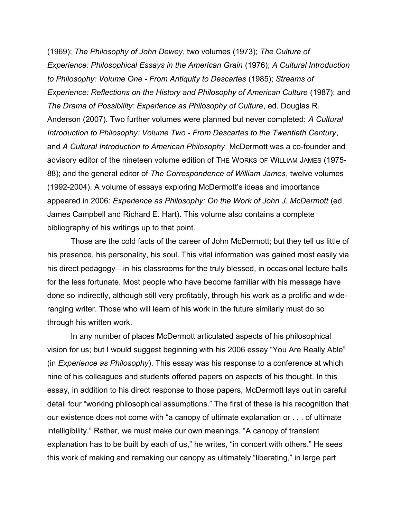(1969); *The Philosophy of John Dewey*, two volumes (1973); *The Culture of Experience: Philosophical Essays in the American Grain* (1976); *A Cultural Introduction to Philosophy: Volume One - From Antiquity to Descartes* (1985); *Streams of Experience: Reflections on the History and Philosophy of American Culture* (1987); and *The Drama of Possibility: Experience as Philosophy of Culture*, ed. Douglas R. Anderson (2007). Two further volumes were planned but never completed: *A Cultural Introduction to Philosophy: Volume Two - From Descartes to the Twentieth Century*, and *A Cultural Introduction to American Philosophy*. McDermott was a co-founder and advisory editor of the nineteen volume edition of THE WORKS OF WILLIAM JAMES (1975- 88); and the general editor of *The Correspondence of William James*, twelve volumes (1992-2004). A volume of essays exploring McDermott's ideas and importance appeared in 2006: *Experience as Philosophy: On the Work of John J. McDermott* (ed. James Campbell and Richard E. Hart). This volume also contains a complete bibliography of his writings up to that point.

Those are the cold facts of the career of John McDermott; but they tell us little of his presence, his personality, his soul. This vital information was gained most easily via his direct pedagogy—in his classrooms for the truly blessed, in occasional lecture halls for the less fortunate. Most people who have become familiar with his message have done so indirectly, although still very profitably, through his work as a prolific and wideranging writer. Those who will learn of his work in the future similarly must do so through his written work.

In any number of places McDermott articulated aspects of his philosophical vision for us; but I would suggest beginning with his 2006 essay "You Are Really Able" (in *Experience as Philosophy*). This essay was his response to a conference at which nine of his colleagues and students offered papers on aspects of his thought. In this essay, in addition to his direct response to those papers, McDermott lays out in careful detail four "working philosophical assumptions." The first of these is his recognition that our existence does not come with "a canopy of ultimate explanation or . . . of ultimate intelligibility." Rather, we must make our own meanings. "A canopy of transient explanation has to be built by each of us," he writes, "in concert with others." He sees this work of making and remaking our canopy as ultimately "liberating," in large part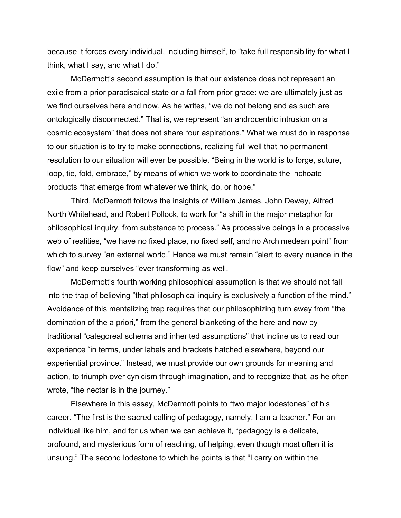because it forces every individual, including himself, to "take full responsibility for what I think, what I say, and what I do."

McDermott's second assumption is that our existence does not represent an exile from a prior paradisaical state or a fall from prior grace: we are ultimately just as we find ourselves here and now. As he writes, "we do not belong and as such are ontologically disconnected." That is, we represent "an androcentric intrusion on a cosmic ecosystem" that does not share "our aspirations." What we must do in response to our situation is to try to make connections, realizing full well that no permanent resolution to our situation will ever be possible. "Being in the world is to forge, suture, loop, tie, fold, embrace," by means of which we work to coordinate the inchoate products "that emerge from whatever we think, do, or hope."

Third, McDermott follows the insights of William James, John Dewey, Alfred North Whitehead, and Robert Pollock, to work for "a shift in the major metaphor for philosophical inquiry, from substance to process." As processive beings in a processive web of realities, "we have no fixed place, no fixed self, and no Archimedean point" from which to survey "an external world." Hence we must remain "alert to every nuance in the flow" and keep ourselves "ever transforming as well.

McDermott's fourth working philosophical assumption is that we should not fall into the trap of believing "that philosophical inquiry is exclusively a function of the mind." Avoidance of this mentalizing trap requires that our philosophizing turn away from "the domination of the a priori," from the general blanketing of the here and now by traditional "categoreal schema and inherited assumptions" that incline us to read our experience "in terms, under labels and brackets hatched elsewhere, beyond our experiential province." Instead, we must provide our own grounds for meaning and action, to triumph over cynicism through imagination, and to recognize that, as he often wrote, "the nectar is in the journey."

Elsewhere in this essay, McDermott points to "two major lodestones" of his career. "The first is the sacred calling of pedagogy, namely, I am a teacher." For an individual like him, and for us when we can achieve it, "pedagogy is a delicate, profound, and mysterious form of reaching, of helping, even though most often it is unsung." The second lodestone to which he points is that "I carry on within the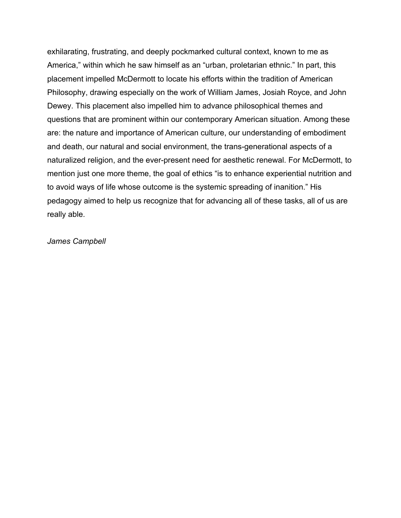exhilarating, frustrating, and deeply pockmarked cultural context, known to me as America," within which he saw himself as an "urban, proletarian ethnic." In part, this placement impelled McDermott to locate his efforts within the tradition of American Philosophy, drawing especially on the work of William James, Josiah Royce, and John Dewey. This placement also impelled him to advance philosophical themes and questions that are prominent within our contemporary American situation. Among these are: the nature and importance of American culture, our understanding of embodiment and death, our natural and social environment, the trans-generational aspects of a naturalized religion, and the ever-present need for aesthetic renewal. For McDermott, to mention just one more theme, the goal of ethics "is to enhance experiential nutrition and to avoid ways of life whose outcome is the systemic spreading of inanition." His pedagogy aimed to help us recognize that for advancing all of these tasks, all of us are really able.

# *James Campbell*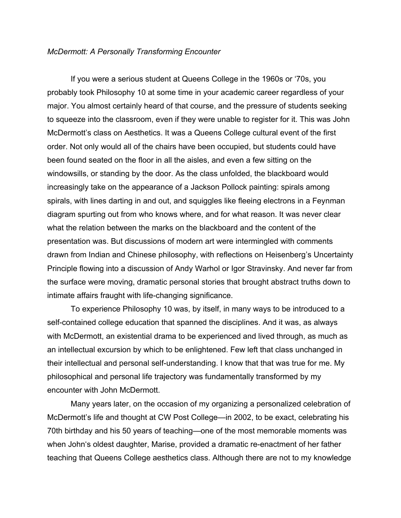### *McDermott: A Personally Transforming Encounter*

If you were a serious student at Queens College in the 1960s or '70s, you probably took Philosophy 10 at some time in your academic career regardless of your major. You almost certainly heard of that course, and the pressure of students seeking to squeeze into the classroom, even if they were unable to register for it. This was John McDermott's class on Aesthetics. It was a Queens College cultural event of the first order. Not only would all of the chairs have been occupied, but students could have been found seated on the floor in all the aisles, and even a few sitting on the windowsills, or standing by the door. As the class unfolded, the blackboard would increasingly take on the appearance of a Jackson Pollock painting: spirals among spirals, with lines darting in and out, and squiggles like fleeing electrons in a Feynman diagram spurting out from who knows where, and for what reason. It was never clear what the relation between the marks on the blackboard and the content of the presentation was. But discussions of modern art were intermingled with comments drawn from Indian and Chinese philosophy, with reflections on Heisenberg's Uncertainty Principle flowing into a discussion of Andy Warhol or Igor Stravinsky. And never far from the surface were moving, dramatic personal stories that brought abstract truths down to intimate affairs fraught with life-changing significance.

To experience Philosophy 10 was, by itself, in many ways to be introduced to a self-contained college education that spanned the disciplines. And it was, as always with McDermott, an existential drama to be experienced and lived through, as much as an intellectual excursion by which to be enlightened. Few left that class unchanged in their intellectual and personal self-understanding. I know that that was true for me. My philosophical and personal life trajectory was fundamentally transformed by my encounter with John McDermott.

Many years later, on the occasion of my organizing a personalized celebration of McDermott's life and thought at CW Post College—in 2002, to be exact, celebrating his 70th birthday and his 50 years of teaching—one of the most memorable moments was when John's oldest daughter, Marise, provided a dramatic re-enactment of her father teaching that Queens College aesthetics class. Although there are not to my knowledge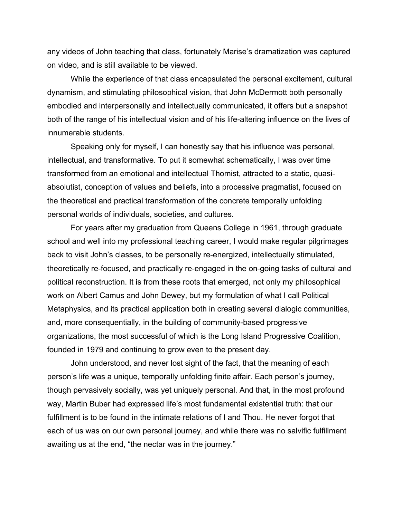any videos of John teaching that class, fortunately Marise's dramatization was captured on video, and is still available to be viewed.

While the experience of that class encapsulated the personal excitement, cultural dynamism, and stimulating philosophical vision, that John McDermott both personally embodied and interpersonally and intellectually communicated, it offers but a snapshot both of the range of his intellectual vision and of his life-altering influence on the lives of innumerable students.

Speaking only for myself, I can honestly say that his influence was personal, intellectual, and transformative. To put it somewhat schematically, I was over time transformed from an emotional and intellectual Thomist, attracted to a static, quasiabsolutist, conception of values and beliefs, into a processive pragmatist, focused on the theoretical and practical transformation of the concrete temporally unfolding personal worlds of individuals, societies, and cultures.

For years after my graduation from Queens College in 1961, through graduate school and well into my professional teaching career, I would make regular pilgrimages back to visit John's classes, to be personally re-energized, intellectually stimulated, theoretically re-focused, and practically re-engaged in the on-going tasks of cultural and political reconstruction. It is from these roots that emerged, not only my philosophical work on Albert Camus and John Dewey, but my formulation of what I call Political Metaphysics, and its practical application both in creating several dialogic communities, and, more consequentially, in the building of community-based progressive organizations, the most successful of which is the Long Island Progressive Coalition, founded in 1979 and continuing to grow even to the present day.

John understood, and never lost sight of the fact, that the meaning of each person's life was a unique, temporally unfolding finite affair. Each person's journey, though pervasively socially, was yet uniquely personal. And that, in the most profound way, Martin Buber had expressed life's most fundamental existential truth: that our fulfillment is to be found in the intimate relations of I and Thou. He never forgot that each of us was on our own personal journey, and while there was no salvific fulfillment awaiting us at the end, "the nectar was in the journey."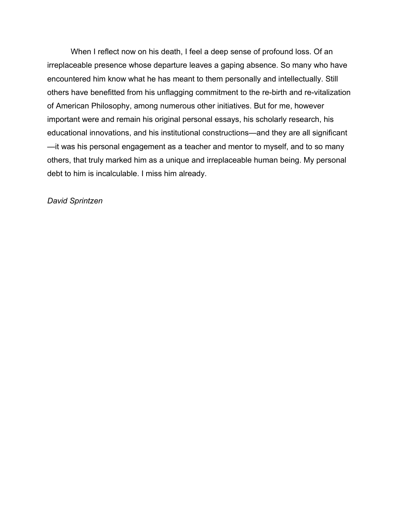When I reflect now on his death, I feel a deep sense of profound loss. Of an irreplaceable presence whose departure leaves a gaping absence. So many who have encountered him know what he has meant to them personally and intellectually. Still others have benefitted from his unflagging commitment to the re-birth and re-vitalization of American Philosophy, among numerous other initiatives. But for me, however important were and remain his original personal essays, his scholarly research, his educational innovations, and his institutional constructions—and they are all significant —it was his personal engagement as a teacher and mentor to myself, and to so many others, that truly marked him as a unique and irreplaceable human being. My personal debt to him is incalculable. I miss him already.

## *David Sprintzen*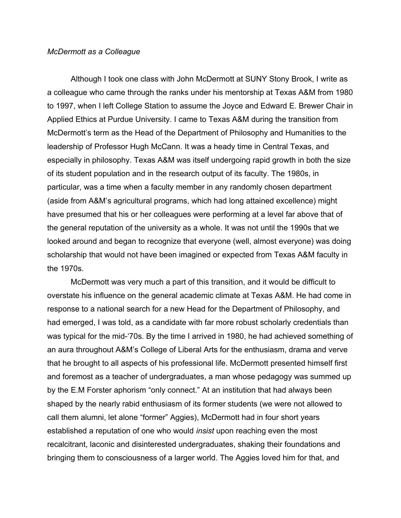### *McDermott as a Colleague*

Although I took one class with John McDermott at SUNY Stony Brook, I write as a colleague who came through the ranks under his mentorship at Texas A&M from 1980 to 1997, when I left College Station to assume the Joyce and Edward E. Brewer Chair in Applied Ethics at Purdue University. I came to Texas A&M during the transition from McDermott's term as the Head of the Department of Philosophy and Humanities to the leadership of Professor Hugh McCann. It was a heady time in Central Texas, and especially in philosophy. Texas A&M was itself undergoing rapid growth in both the size of its student population and in the research output of its faculty. The 1980s, in particular, was a time when a faculty member in any randomly chosen department (aside from A&M's agricultural programs, which had long attained excellence) might have presumed that his or her colleagues were performing at a level far above that of the general reputation of the university as a whole. It was not until the 1990s that we looked around and began to recognize that everyone (well, almost everyone) was doing scholarship that would not have been imagined or expected from Texas A&M faculty in the 1970s.

McDermott was very much a part of this transition, and it would be difficult to overstate his influence on the general academic climate at Texas A&M. He had come in response to a national search for a new Head for the Department of Philosophy, and had emerged, I was told, as a candidate with far more robust scholarly credentials than was typical for the mid-'70s. By the time I arrived in 1980, he had achieved something of an aura throughout A&M's College of Liberal Arts for the enthusiasm, drama and verve that he brought to all aspects of his professional life. McDermott presented himself first and foremost as a teacher of undergraduates, a man whose pedagogy was summed up by the E.M Forster aphorism "only connect." At an institution that had always been shaped by the nearly rabid enthusiasm of its former students (we were not allowed to call them alumni, let alone "former" Aggies), McDermott had in four short years established a reputation of one who would *insist* upon reaching even the most recalcitrant, laconic and disinterested undergraduates, shaking their foundations and bringing them to consciousness of a larger world. The Aggies loved him for that, and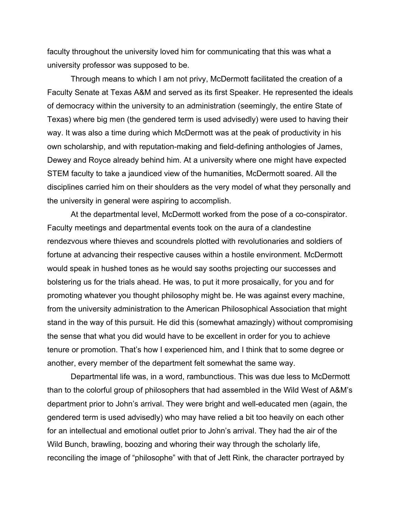faculty throughout the university loved him for communicating that this was what a university professor was supposed to be.

Through means to which I am not privy, McDermott facilitated the creation of a Faculty Senate at Texas A&M and served as its first Speaker. He represented the ideals of democracy within the university to an administration (seemingly, the entire State of Texas) where big men (the gendered term is used advisedly) were used to having their way. It was also a time during which McDermott was at the peak of productivity in his own scholarship, and with reputation-making and field-defining anthologies of James, Dewey and Royce already behind him. At a university where one might have expected STEM faculty to take a jaundiced view of the humanities, McDermott soared. All the disciplines carried him on their shoulders as the very model of what they personally and the university in general were aspiring to accomplish.

At the departmental level, McDermott worked from the pose of a co-conspirator. Faculty meetings and departmental events took on the aura of a clandestine rendezvous where thieves and scoundrels plotted with revolutionaries and soldiers of fortune at advancing their respective causes within a hostile environment. McDermott would speak in hushed tones as he would say sooths projecting our successes and bolstering us for the trials ahead. He was, to put it more prosaically, for you and for promoting whatever you thought philosophy might be. He was against every machine, from the university administration to the American Philosophical Association that might stand in the way of this pursuit. He did this (somewhat amazingly) without compromising the sense that what you did would have to be excellent in order for you to achieve tenure or promotion. That's how I experienced him, and I think that to some degree or another, every member of the department felt somewhat the same way.

Departmental life was, in a word, rambunctious. This was due less to McDermott than to the colorful group of philosophers that had assembled in the Wild West of A&M's department prior to John's arrival. They were bright and well-educated men (again, the gendered term is used advisedly) who may have relied a bit too heavily on each other for an intellectual and emotional outlet prior to John's arrival. They had the air of the Wild Bunch, brawling, boozing and whoring their way through the scholarly life, reconciling the image of "philosophe" with that of Jett Rink, the character portrayed by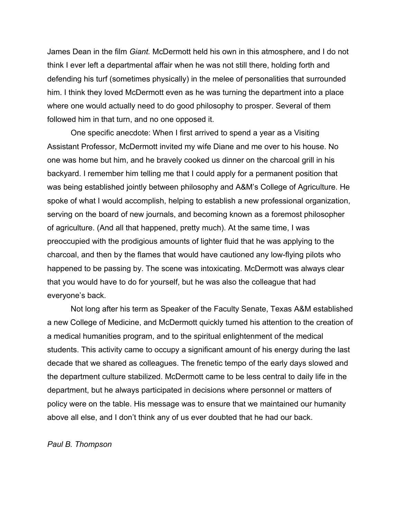James Dean in the film *Giant.* McDermott held his own in this atmosphere, and I do not think I ever left a departmental affair when he was not still there, holding forth and defending his turf (sometimes physically) in the melee of personalities that surrounded him. I think they loved McDermott even as he was turning the department into a place where one would actually need to do good philosophy to prosper. Several of them followed him in that turn, and no one opposed it.

One specific anecdote: When I first arrived to spend a year as a Visiting Assistant Professor, McDermott invited my wife Diane and me over to his house. No one was home but him, and he bravely cooked us dinner on the charcoal grill in his backyard. I remember him telling me that I could apply for a permanent position that was being established jointly between philosophy and A&M's College of Agriculture. He spoke of what I would accomplish, helping to establish a new professional organization, serving on the board of new journals, and becoming known as a foremost philosopher of agriculture. (And all that happened, pretty much). At the same time, I was preoccupied with the prodigious amounts of lighter fluid that he was applying to the charcoal, and then by the flames that would have cautioned any low-flying pilots who happened to be passing by. The scene was intoxicating. McDermott was always clear that you would have to do for yourself, but he was also the colleague that had everyone's back.

Not long after his term as Speaker of the Faculty Senate, Texas A&M established a new College of Medicine, and McDermott quickly turned his attention to the creation of a medical humanities program, and to the spiritual enlightenment of the medical students. This activity came to occupy a significant amount of his energy during the last decade that we shared as colleagues. The frenetic tempo of the early days slowed and the department culture stabilized. McDermott came to be less central to daily life in the department, but he always participated in decisions where personnel or matters of policy were on the table. His message was to ensure that we maintained our humanity above all else, and I don't think any of us ever doubted that he had our back.

## *Paul B. Thompson*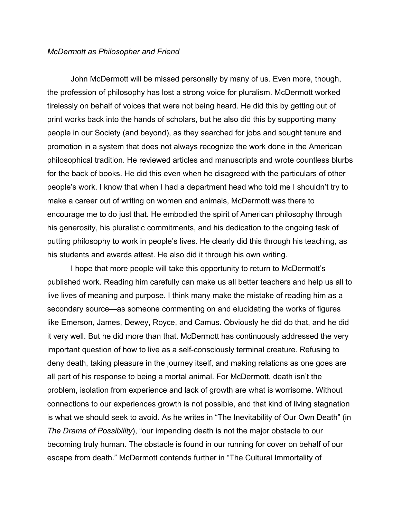#### *McDermott as Philosopher and Friend*

John McDermott will be missed personally by many of us. Even more, though, the profession of philosophy has lost a strong voice for pluralism. McDermott worked tirelessly on behalf of voices that were not being heard. He did this by getting out of print works back into the hands of scholars, but he also did this by supporting many people in our Society (and beyond), as they searched for jobs and sought tenure and promotion in a system that does not always recognize the work done in the American philosophical tradition. He reviewed articles and manuscripts and wrote countless blurbs for the back of books. He did this even when he disagreed with the particulars of other people's work. I know that when I had a department head who told me I shouldn't try to make a career out of writing on women and animals, McDermott was there to encourage me to do just that. He embodied the spirit of American philosophy through his generosity, his pluralistic commitments, and his dedication to the ongoing task of putting philosophy to work in people's lives. He clearly did this through his teaching, as his students and awards attest. He also did it through his own writing.

I hope that more people will take this opportunity to return to McDermott's published work. Reading him carefully can make us all better teachers and help us all to live lives of meaning and purpose. I think many make the mistake of reading him as a secondary source—as someone commenting on and elucidating the works of figures like Emerson, James, Dewey, Royce, and Camus. Obviously he did do that, and he did it very well. But he did more than that. McDermott has continuously addressed the very important question of how to live as a self-consciously terminal creature. Refusing to deny death, taking pleasure in the journey itself, and making relations as one goes are all part of his response to being a mortal animal. For McDermott, death isn't the problem, isolation from experience and lack of growth are what is worrisome. Without connections to our experiences growth is not possible, and that kind of living stagnation is what we should seek to avoid. As he writes in "The Inevitability of Our Own Death" (in *The Drama of Possibility*), "our impending death is not the major obstacle to our becoming truly human. The obstacle is found in our running for cover on behalf of our escape from death." McDermott contends further in "The Cultural Immortality of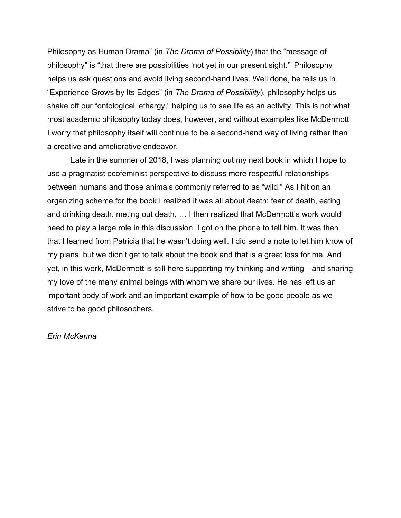Philosophy as Human Drama" (in *The Drama of Possibility*) that the "message of philosophy" is "that there are possibilities 'not yet in our present sight.'" Philosophy helps us ask questions and avoid living second-hand lives. Well done, he tells us in "Experience Grows by Its Edges" (in *The Drama of Possibility*), philosophy helps us shake off our "ontological lethargy," helping us to see life as an activity. This is not what most academic philosophy today does, however, and without examples like McDermott I worry that philosophy itself will continue to be a second-hand way of living rather than a creative and ameliorative endeavor.

Late in the summer of 2018, I was planning out my next book in which I hope to use a pragmatist ecofeminist perspective to discuss more respectful relationships between humans and those animals commonly referred to as "wild." As I hit on an organizing scheme for the book I realized it was all about death: fear of death, eating and drinking death, meting out death, … I then realized that McDermott's work would need to play a large role in this discussion. I got on the phone to tell him. It was then that I learned from Patricia that he wasn't doing well. I did send a note to let him know of my plans, but we didn't get to talk about the book and that is a great loss for me. And yet, in this work, McDermott is still here supporting my thinking and writing—and sharing my love of the many animal beings with whom we share our lives. He has left us an important body of work and an important example of how to be good people as we strive to be good philosophers.

# *Erin McKenna*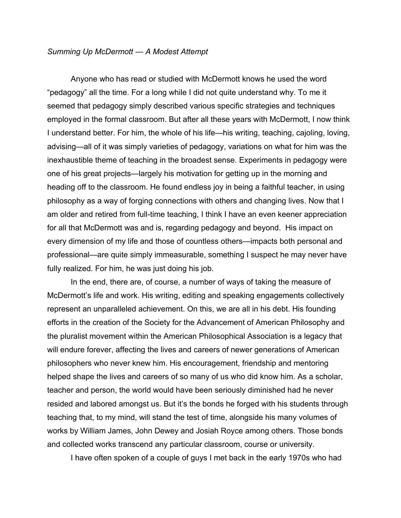### *Summing Up McDermott — A Modest Attempt*

Anyone who has read or studied with McDermott knows he used the word "pedagogy" all the time. For a long while I did not quite understand why. To me it seemed that pedagogy simply described various specific strategies and techniques employed in the formal classroom. But after all these years with McDermott, I now think I understand better. For him, the whole of his life—his writing, teaching, cajoling, loving, advising—all of it was simply varieties of pedagogy, variations on what for him was the inexhaustible theme of teaching in the broadest sense. Experiments in pedagogy were one of his great projects—largely his motivation for getting up in the morning and heading off to the classroom. He found endless joy in being a faithful teacher, in using philosophy as a way of forging connections with others and changing lives. Now that I am older and retired from full-time teaching, I think I have an even keener appreciation for all that McDermott was and is, regarding pedagogy and beyond. His impact on every dimension of my life and those of countless others—impacts both personal and professional—are quite simply immeasurable, something I suspect he may never have fully realized. For him, he was just doing his job.

In the end, there are, of course, a number of ways of taking the measure of McDermott's life and work. His writing, editing and speaking engagements collectively represent an unparalleled achievement. On this, we are all in his debt. His founding efforts in the creation of the Society for the Advancement of American Philosophy and the pluralist movement within the American Philosophical Association is a legacy that will endure forever, affecting the lives and careers of newer generations of American philosophers who never knew him. His encouragement, friendship and mentoring helped shape the lives and careers of so many of us who did know him. As a scholar, teacher and person, the world would have been seriously diminished had he never resided and labored amongst us. But it's the bonds he forged with his students through teaching that, to my mind, will stand the test of time, alongside his many volumes of works by William James, John Dewey and Josiah Royce among others. Those bonds and collected works transcend any particular classroom, course or university.

I have often spoken of a couple of guys I met back in the early 1970s who had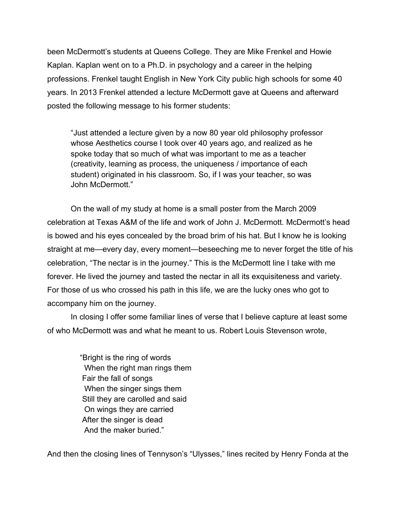been McDermott's students at Queens College. They are Mike Frenkel and Howie Kaplan. Kaplan went on to a Ph.D. in psychology and a career in the helping professions. Frenkel taught English in New York City public high schools for some 40 years. In 2013 Frenkel attended a lecture McDermott gave at Queens and afterward posted the following message to his former students:

"Just attended a lecture given by a now 80 year old philosophy professor whose Aesthetics course I took over 40 years ago, and realized as he spoke today that so much of what was important to me as a teacher (creativity, learning as process, the uniqueness / importance of each student) originated in his classroom. So, if I was your teacher, so was John McDermott."

On the wall of my study at home is a small poster from the March 2009 celebration at Texas A&M of the life and work of John J. McDermott. McDermott's head is bowed and his eyes concealed by the broad brim of his hat. But I know he is looking straight at me—every day, every moment—beseeching me to never forget the title of his celebration, "The nectar is in the journey." This is the McDermott line I take with me forever. He lived the journey and tasted the nectar in all its exquisiteness and variety. For those of us who crossed his path in this life, we are the lucky ones who got to accompany him on the journey.

In closing I offer some familiar lines of verse that I believe capture at least some of who McDermott was and what he meant to us. Robert Louis Stevenson wrote,

> "Bright is the ring of words When the right man rings them Fair the fall of songs When the singer sings them Still they are carolled and said On wings they are carried After the singer is dead And the maker buried."

And then the closing lines of Tennyson's "Ulysses," lines recited by Henry Fonda at the